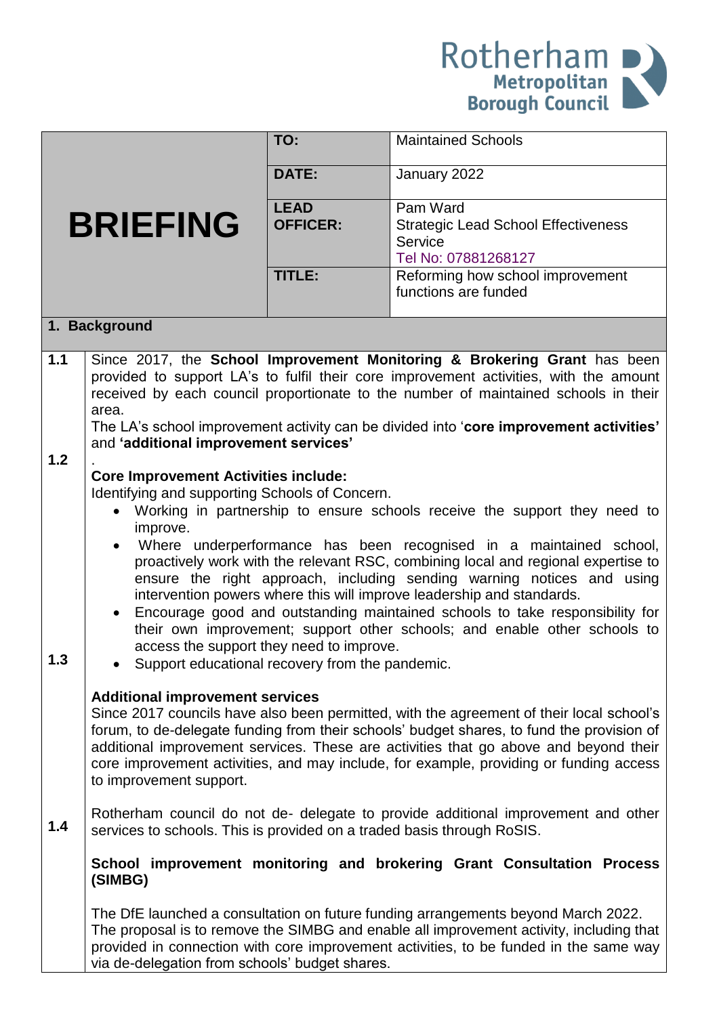

|                 |                                                                                                                                                                                                                                                                                                                                                                                                                                                                                                                                                                                                                                                                                                                                                                  | TO:                            | <b>Maintained Schools</b>                                                                                                                                                                                                                                                                                                                                               |
|-----------------|------------------------------------------------------------------------------------------------------------------------------------------------------------------------------------------------------------------------------------------------------------------------------------------------------------------------------------------------------------------------------------------------------------------------------------------------------------------------------------------------------------------------------------------------------------------------------------------------------------------------------------------------------------------------------------------------------------------------------------------------------------------|--------------------------------|-------------------------------------------------------------------------------------------------------------------------------------------------------------------------------------------------------------------------------------------------------------------------------------------------------------------------------------------------------------------------|
|                 |                                                                                                                                                                                                                                                                                                                                                                                                                                                                                                                                                                                                                                                                                                                                                                  | <b>DATE:</b>                   | January 2022                                                                                                                                                                                                                                                                                                                                                            |
| <b>BRIEFING</b> |                                                                                                                                                                                                                                                                                                                                                                                                                                                                                                                                                                                                                                                                                                                                                                  | <b>LEAD</b><br><b>OFFICER:</b> | Pam Ward<br><b>Strategic Lead School Effectiveness</b><br>Service<br>Tel No: 07881268127                                                                                                                                                                                                                                                                                |
|                 |                                                                                                                                                                                                                                                                                                                                                                                                                                                                                                                                                                                                                                                                                                                                                                  | TITLE:                         | Reforming how school improvement<br>functions are funded                                                                                                                                                                                                                                                                                                                |
|                 | 1. Background                                                                                                                                                                                                                                                                                                                                                                                                                                                                                                                                                                                                                                                                                                                                                    |                                |                                                                                                                                                                                                                                                                                                                                                                         |
| 1.1             | area.                                                                                                                                                                                                                                                                                                                                                                                                                                                                                                                                                                                                                                                                                                                                                            |                                | Since 2017, the School Improvement Monitoring & Brokering Grant has been<br>provided to support LA's to fulfil their core improvement activities, with the amount<br>received by each council proportionate to the number of maintained schools in their                                                                                                                |
| $1.2$           | and 'additional improvement services'                                                                                                                                                                                                                                                                                                                                                                                                                                                                                                                                                                                                                                                                                                                            |                                | The LA's school improvement activity can be divided into 'core improvement activities'                                                                                                                                                                                                                                                                                  |
| 1.3             | <b>Core Improvement Activities include:</b><br>Identifying and supporting Schools of Concern.<br>Working in partnership to ensure schools receive the support they need to<br>improve.<br>Where underperformance has been recognised in a maintained school,<br>proactively work with the relevant RSC, combining local and regional expertise to<br>ensure the right approach, including sending warning notices and using<br>intervention powers where this will improve leadership and standards.<br>Encourage good and outstanding maintained schools to take responsibility for<br>their own improvement; support other schools; and enable other schools to<br>access the support they need to improve.<br>Support educational recovery from the pandemic. |                                |                                                                                                                                                                                                                                                                                                                                                                         |
|                 | <b>Additional improvement services</b><br>to improvement support.                                                                                                                                                                                                                                                                                                                                                                                                                                                                                                                                                                                                                                                                                                |                                | Since 2017 councils have also been permitted, with the agreement of their local school's<br>forum, to de-delegate funding from their schools' budget shares, to fund the provision of<br>additional improvement services. These are activities that go above and beyond their<br>core improvement activities, and may include, for example, providing or funding access |
| 1.4             | services to schools. This is provided on a traded basis through RoSIS.                                                                                                                                                                                                                                                                                                                                                                                                                                                                                                                                                                                                                                                                                           |                                | Rotherham council do not de- delegate to provide additional improvement and other                                                                                                                                                                                                                                                                                       |
|                 | (SIMBG)                                                                                                                                                                                                                                                                                                                                                                                                                                                                                                                                                                                                                                                                                                                                                          |                                | School improvement monitoring and brokering Grant Consultation Process                                                                                                                                                                                                                                                                                                  |
|                 | via de-delegation from schools' budget shares.                                                                                                                                                                                                                                                                                                                                                                                                                                                                                                                                                                                                                                                                                                                   |                                | The DfE launched a consultation on future funding arrangements beyond March 2022.<br>The proposal is to remove the SIMBG and enable all improvement activity, including that<br>provided in connection with core improvement activities, to be funded in the same way                                                                                                   |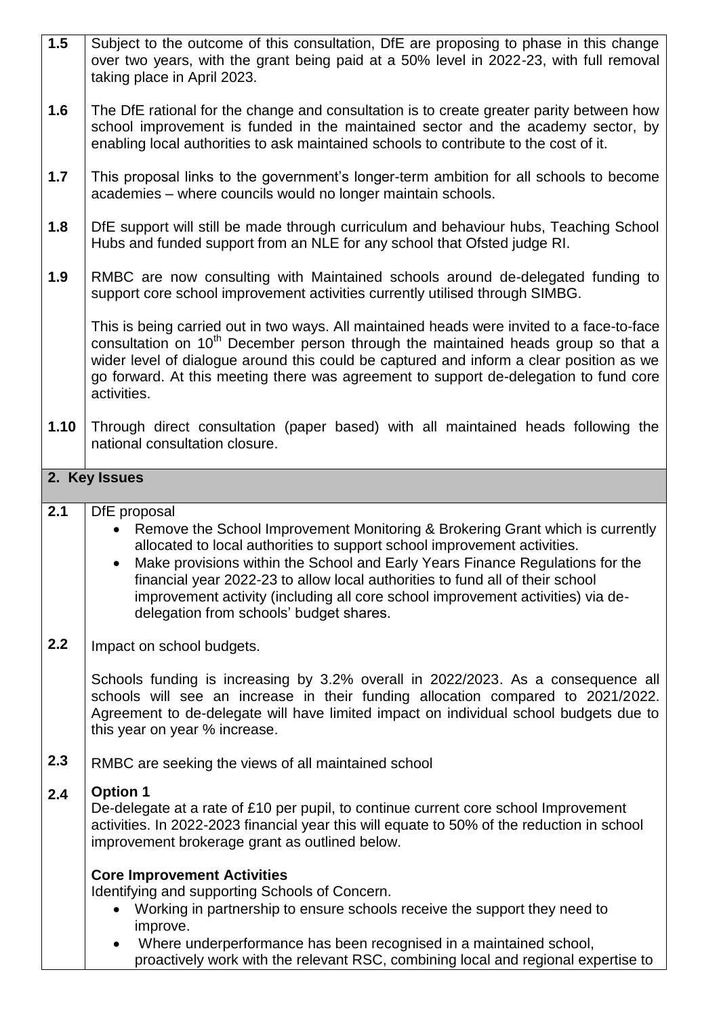| 1.5  | Subject to the outcome of this consultation, DfE are proposing to phase in this change<br>over two years, with the grant being paid at a 50% level in 2022-23, with full removal<br>taking place in April 2023.                                                                                                                                                                                                                                                           |  |  |
|------|---------------------------------------------------------------------------------------------------------------------------------------------------------------------------------------------------------------------------------------------------------------------------------------------------------------------------------------------------------------------------------------------------------------------------------------------------------------------------|--|--|
| 1.6  | The DfE rational for the change and consultation is to create greater parity between how<br>school improvement is funded in the maintained sector and the academy sector, by<br>enabling local authorities to ask maintained schools to contribute to the cost of it.                                                                                                                                                                                                     |  |  |
| 1.7  | This proposal links to the government's longer-term ambition for all schools to become<br>academies - where councils would no longer maintain schools.                                                                                                                                                                                                                                                                                                                    |  |  |
| 1.8  | DfE support will still be made through curriculum and behaviour hubs, Teaching School<br>Hubs and funded support from an NLE for any school that Ofsted judge RI.                                                                                                                                                                                                                                                                                                         |  |  |
| 1.9  | RMBC are now consulting with Maintained schools around de-delegated funding to<br>support core school improvement activities currently utilised through SIMBG.                                                                                                                                                                                                                                                                                                            |  |  |
|      | This is being carried out in two ways. All maintained heads were invited to a face-to-face<br>consultation on 10 <sup>th</sup> December person through the maintained heads group so that a<br>wider level of dialogue around this could be captured and inform a clear position as we<br>go forward. At this meeting there was agreement to support de-delegation to fund core<br>activities.                                                                            |  |  |
| 1.10 | Through direct consultation (paper based) with all maintained heads following the<br>national consultation closure.                                                                                                                                                                                                                                                                                                                                                       |  |  |
|      | 2. Key Issues                                                                                                                                                                                                                                                                                                                                                                                                                                                             |  |  |
| 2.1  | DfE proposal<br>Remove the School Improvement Monitoring & Brokering Grant which is currently<br>allocated to local authorities to support school improvement activities.<br>Make provisions within the School and Early Years Finance Regulations for the<br>financial year 2022-23 to allow local authorities to fund all of their school<br>improvement activity (including all core school improvement activities) via de-<br>delegation from schools' budget shares. |  |  |
| 2.2  | Impact on school budgets.                                                                                                                                                                                                                                                                                                                                                                                                                                                 |  |  |
|      | Schools funding is increasing by 3.2% overall in 2022/2023. As a consequence all<br>schools will see an increase in their funding allocation compared to 2021/2022.<br>Agreement to de-delegate will have limited impact on individual school budgets due to<br>this year on year % increase.                                                                                                                                                                             |  |  |
| 2.3  | RMBC are seeking the views of all maintained school                                                                                                                                                                                                                                                                                                                                                                                                                       |  |  |
| 2.4  | <b>Option 1</b><br>De-delegate at a rate of £10 per pupil, to continue current core school Improvement<br>activities. In 2022-2023 financial year this will equate to 50% of the reduction in school<br>improvement brokerage grant as outlined below.                                                                                                                                                                                                                    |  |  |
|      | <b>Core Improvement Activities</b>                                                                                                                                                                                                                                                                                                                                                                                                                                        |  |  |
|      | Identifying and supporting Schools of Concern.<br>Working in partnership to ensure schools receive the support they need to<br>improve.                                                                                                                                                                                                                                                                                                                                   |  |  |
|      |                                                                                                                                                                                                                                                                                                                                                                                                                                                                           |  |  |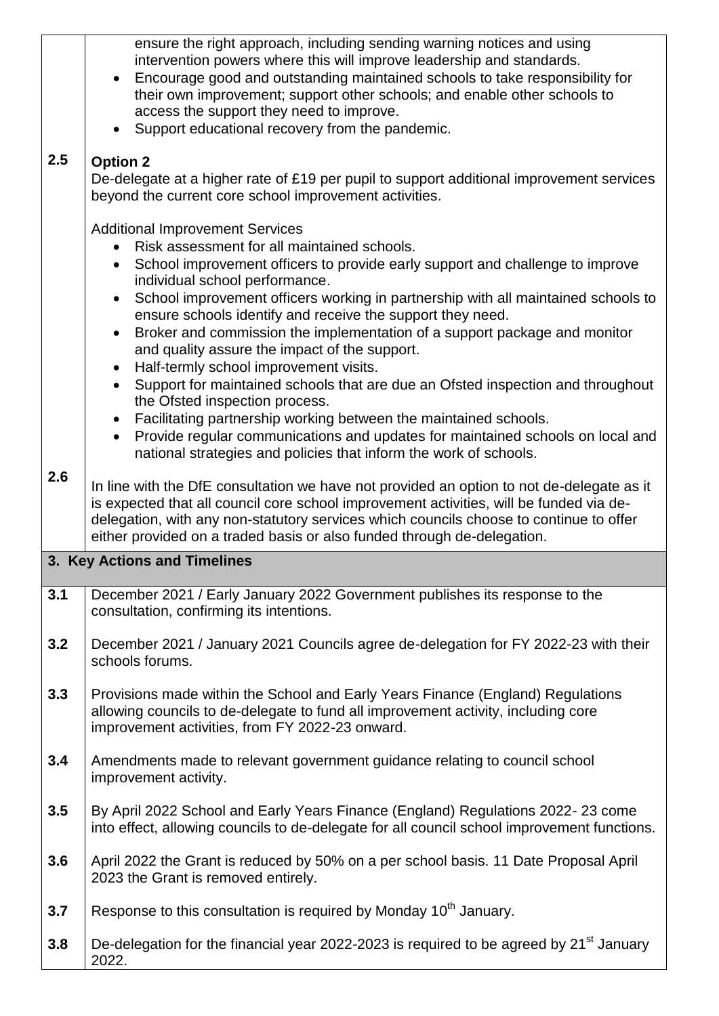| 2.5 | ensure the right approach, including sending warning notices and using<br>intervention powers where this will improve leadership and standards.<br>Encourage good and outstanding maintained schools to take responsibility for<br>their own improvement; support other schools; and enable other schools to<br>access the support they need to improve.<br>Support educational recovery from the pandemic.<br><b>Option 2</b><br>De-delegate at a higher rate of £19 per pupil to support additional improvement services<br>beyond the current core school improvement activities.                                                                                                                                                                                                                                                                                            |  |  |
|-----|---------------------------------------------------------------------------------------------------------------------------------------------------------------------------------------------------------------------------------------------------------------------------------------------------------------------------------------------------------------------------------------------------------------------------------------------------------------------------------------------------------------------------------------------------------------------------------------------------------------------------------------------------------------------------------------------------------------------------------------------------------------------------------------------------------------------------------------------------------------------------------|--|--|
|     | <b>Additional Improvement Services</b><br>Risk assessment for all maintained schools.<br>School improvement officers to provide early support and challenge to improve<br>$\bullet$<br>individual school performance.<br>School improvement officers working in partnership with all maintained schools to<br>$\bullet$<br>ensure schools identify and receive the support they need.<br>Broker and commission the implementation of a support package and monitor<br>and quality assure the impact of the support.<br>Half-termly school improvement visits.<br>$\bullet$<br>Support for maintained schools that are due an Ofsted inspection and throughout<br>$\bullet$<br>the Ofsted inspection process.<br>Facilitating partnership working between the maintained schools.<br>Provide regular communications and updates for maintained schools on local and<br>$\bullet$ |  |  |
| 2.6 | national strategies and policies that inform the work of schools.<br>In line with the DfE consultation we have not provided an option to not de-delegate as it<br>is expected that all council core school improvement activities, will be funded via de-<br>delegation, with any non-statutory services which councils choose to continue to offer<br>either provided on a traded basis or also funded through de-delegation.                                                                                                                                                                                                                                                                                                                                                                                                                                                  |  |  |
|     | 3. Key Actions and Timelines                                                                                                                                                                                                                                                                                                                                                                                                                                                                                                                                                                                                                                                                                                                                                                                                                                                    |  |  |
| 3.1 | December 2021 / Early January 2022 Government publishes its response to the<br>consultation, confirming its intentions.                                                                                                                                                                                                                                                                                                                                                                                                                                                                                                                                                                                                                                                                                                                                                         |  |  |
| 3.2 | December 2021 / January 2021 Councils agree de-delegation for FY 2022-23 with their<br>schools forums.                                                                                                                                                                                                                                                                                                                                                                                                                                                                                                                                                                                                                                                                                                                                                                          |  |  |
| 3.3 | Provisions made within the School and Early Years Finance (England) Regulations<br>allowing councils to de-delegate to fund all improvement activity, including core<br>improvement activities, from FY 2022-23 onward.                                                                                                                                                                                                                                                                                                                                                                                                                                                                                                                                                                                                                                                         |  |  |
| 3.4 | Amendments made to relevant government guidance relating to council school<br>improvement activity.                                                                                                                                                                                                                                                                                                                                                                                                                                                                                                                                                                                                                                                                                                                                                                             |  |  |
| 3.5 | By April 2022 School and Early Years Finance (England) Regulations 2022-23 come<br>into effect, allowing councils to de-delegate for all council school improvement functions.                                                                                                                                                                                                                                                                                                                                                                                                                                                                                                                                                                                                                                                                                                  |  |  |
| 3.6 | April 2022 the Grant is reduced by 50% on a per school basis. 11 Date Proposal April<br>2023 the Grant is removed entirely.                                                                                                                                                                                                                                                                                                                                                                                                                                                                                                                                                                                                                                                                                                                                                     |  |  |
| 3.7 | Response to this consultation is required by Monday 10 <sup>th</sup> January.                                                                                                                                                                                                                                                                                                                                                                                                                                                                                                                                                                                                                                                                                                                                                                                                   |  |  |
| 3.8 | De-delegation for the financial year 2022-2023 is required to be agreed by 21 <sup>st</sup> January<br>2022.                                                                                                                                                                                                                                                                                                                                                                                                                                                                                                                                                                                                                                                                                                                                                                    |  |  |